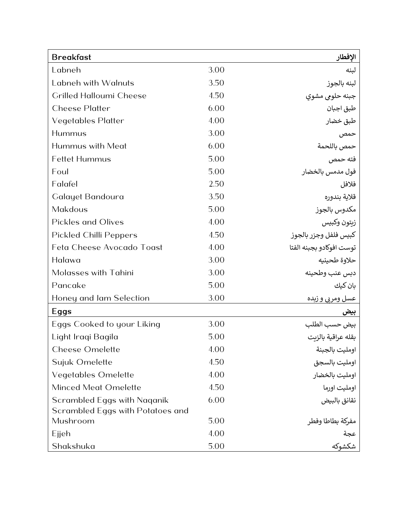| <b>Breakfast</b>                                                |      | الإفطار                           |
|-----------------------------------------------------------------|------|-----------------------------------|
| Labneh                                                          | 3.00 | لبنه                              |
| Labneh with Walnuts                                             | 3.50 | لبنه بالجوز                       |
| <b>Crilled Halloumi Cheese</b>                                  | 4.50 | جبنه حلومي مشوي                   |
| <b>Cheese Platter</b>                                           | 6.00 | طبق اجبان                         |
| <b>Vegetables Platter</b>                                       | 4.00 | طبق خضار                          |
| Hummus                                                          | 3.00 | حمص                               |
| Hummus with Meat                                                | 6.00 | حمص باللحمة                       |
| <b>Fettet Hummus</b>                                            | 5.00 | فته حمص                           |
| Foul                                                            | 5.00 | فول مدمس بالخضار                  |
| Falafel                                                         | 2.50 | فلافل                             |
| Galayet Bandoura                                                | 3.50 | قلاية بندوره                      |
| Makdous                                                         | 5.00 | مكدوس بالجوز                      |
| <b>Pickles and Olives</b>                                       | 4.00 | زيتون وكبيس                       |
| <b>Pickled Chilli Peppers</b>                                   | 4.50 | كبيس فلفل وجزر بالجوز             |
| Feta Cheese Avocado Toast                                       | 4.00 | توست افوكادو بجبنه الفتا          |
| Halawa                                                          | 3.00 | حلاوة طحينيه                      |
| Molasses with Tahini                                            | 3.00 | دبس عنب وطحينه                    |
| Pancake                                                         | 5.00 | بان کیك                           |
| Honey and Jam Selection                                         | 3.00 | <u>عسل ومربي و زيده</u>           |
| Eggs                                                            |      | بيض                               |
| Eggs Cooked to your Liking                                      | 3.00 | بيض حسب الطلب                     |
| Light Iraqi Bagila                                              | 5.00 | بقله عراقية بالزيت                |
| <b>Cheese Omelette</b>                                          | 4.00 | اومليت بالجبنة                    |
| Sujuk Omelette                                                  | 4.50 | اومليت بالسجق                     |
| <b>Vegetables Omelette</b>                                      | 4.00 | اومليت بالخضار                    |
| Minced Meat Omelette                                            | 4.50 | اومليت اورما                      |
| Scrambled Eggs with Naganik<br>Scrambled Eggs with Potatoes and | 6.00 | نقانق بالبيض                      |
| Mushroom                                                        | 5.00 | مفركة بطاطا وفطر<br>عجة<br>شكشوكه |
| Ejjeh                                                           | 4.00 |                                   |
| Shakshuka                                                       | 5.00 |                                   |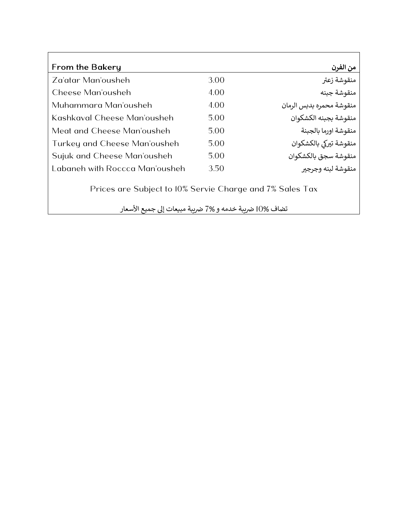| <b>From the Bakery</b>                                   |      | من الفرن                 |
|----------------------------------------------------------|------|--------------------------|
| Za'atar Man'ousheh                                       | 3.00 | منقوشة زعتر              |
| Cheese Man'ousheh                                        | 4.00 | منقوشة جبنه              |
| Muhammara Man'ousheh                                     | 4.00 | منقوشة محمره بدبس الرمان |
| Kashkaval Cheese Man'ousheh                              | 5.00 | منقوشة بجبنه الكشكوان    |
| Meat and Cheese Man'ousheh                               | 5.00 | منقوشة اورما بالجبنة     |
| Turkey and Cheese Man'ousheh                             | 5.00 | منقوشة تيركى بالكشكوان   |
| Sujuk and Cheese Man'ousheh                              | 5.00 | منقوشة سجق بالكشكوان     |
| Labaneh with Roccca Man'ousheh                           | 3.50 | منقوشة لبنه وجرجير       |
| Prices are Subject to 10% Servie Charge and 7% Sales Tax |      |                          |

تضاف %0| ضريبة خدمه و %7 ضريبة مبيعات إلى جميع الأسعار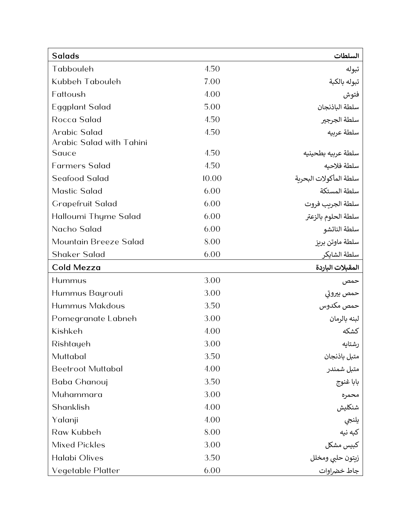| <b>Salads</b>            |       | السلطات                                                                                     |
|--------------------------|-------|---------------------------------------------------------------------------------------------|
| Tabbouleh                | 4.50  | تبوله                                                                                       |
| Kubbeh Tabouleh          | 7.00  | تبوله بالكبة                                                                                |
| Fattoush                 | 4.00  | فتوش                                                                                        |
| <b>Eggplant Salad</b>    | 5.00  | سلطة الباذنجان                                                                              |
| <b>Rocca Salad</b>       | 4.50  | سلطة الجرجير                                                                                |
| Arabic Salad             | 4.50  | سلطة عربيه                                                                                  |
| Arabic Salad with Tahini |       |                                                                                             |
| Sauce                    | 4.50  | سلطة عربيه بطحينيه                                                                          |
| <b>Farmers Salad</b>     | 4.50  | سلطة فلاحيه                                                                                 |
| Seafood Salad            | 10.00 | سلطة المأكولات البحرية                                                                      |
| <b>Mastic Salad</b>      | 6.00  | سلطة المستكة                                                                                |
| <b>Grapefruit Salad</b>  | 6.00  | سلطة الجريب فروت                                                                            |
| Halloumi Thyme Salad     | 6.00  | سلطة الحلوم بالزعتر                                                                         |
| Nacho Salad              | 6.00  | سلطة الناتشو                                                                                |
| Mountain Breeze Salad    | 8.00  | سلطة ماوتن بريز                                                                             |
| Shaker Salad             | 6.00  | سلطة الشايكر                                                                                |
|                          |       |                                                                                             |
| Cold Mezza               |       | المقبلات الباردة                                                                            |
| Hummus                   | 3.00  | حمص                                                                                         |
| Hummus Bayrouti          | 3.00  | حمص بيروتي                                                                                  |
| <b>Hummus Makdous</b>    | 3.50  | حمص مكدوس                                                                                   |
| Pomegranate Labneh       | 3.00  | لبنه بالرمان                                                                                |
| Kishkeh                  | 4.00  | كشكه                                                                                        |
| Rishtayeh                | 3.00  | رشتايه                                                                                      |
| Muttabal                 | 3.50  | متبل باذنجان                                                                                |
| <b>Beetroot Muttabal</b> | 4.00  | متبل شمندر                                                                                  |
| Baba Ghanouj             | 3.50  |                                                                                             |
| Muhammara                | 3.00  | بابا غنوج                                                                                   |
| Shanklish                | 4.00  | محمره                                                                                       |
| Yalanji                  | 4.00  |                                                                                             |
| Raw Kubbeh               | 8.00  |                                                                                             |
| <b>Mixed Pickles</b>     | 3.00  |                                                                                             |
| Halabi Olives            | 3.50  | ----- <sub>--</sub><br>شنكليش<br>يلنجي<br>كبيس مشكل<br>زيتون حلبي ومخلل<br>زيتون حلبي ومخلل |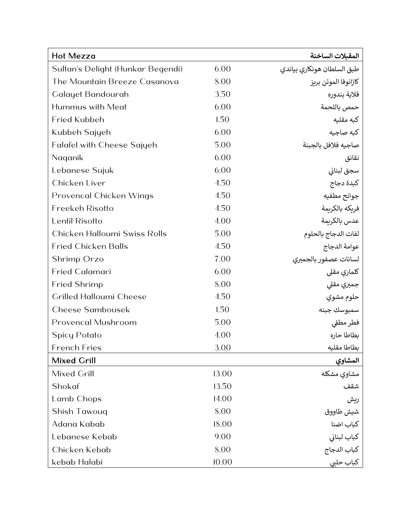| <b>Hot Mezza</b>                  |       | المقبلات الساخنة                                             |
|-----------------------------------|-------|--------------------------------------------------------------|
| Sultan's Delight (Hunkar Begendi) | 6.00  | طبق السلطان هونكاري بياندي                                   |
| The Mountain Breeze Casanova      | 8.00  | كازانوفا الموتن بريز                                         |
| Galayet Bandourah                 | 3.50  | قلاية بندوره                                                 |
| Hummus with Meat                  | 6.00  | حمص باللحمة                                                  |
| <b>Fried Kubbeh</b>               | 1.50  | كبه مقليه                                                    |
| Kubbeh Sajyeh                     | 6.00  | كبه صاجيه                                                    |
| <b>Falafel with Cheese Sajyeh</b> | 5.00  | صاجيه فلافل بالجبنة                                          |
| Naganik                           | 6.00  | نقانق                                                        |
| Lebanese Sujuk                    | 6.00  | سجق لبناني                                                   |
| Chicken Liver                     | 4.50  | كبدة دجاج                                                    |
| <b>Provencal Chicken Wings</b>    | 4.50  | جوانح مطفيه                                                  |
| <b>Freekeh Risotto</b>            | 4.50  | فريكه بالكريمة                                               |
| Lentil Risotto                    | 4.00  | عدس بالكريمة                                                 |
| Chicken Halloumi Swiss Rolls      | 5.00  | لفات الدجاج بالحلوم                                          |
| <b>Fried Chicken Balls</b>        | 4.50  | عوامة الدجاج                                                 |
| Shrimp Orzo                       | 7.00  | لسانات عصفور بالجمبري                                        |
| <b>Fried Calamari</b>             | 6.00  | كلماري مقلي                                                  |
| <b>Fried Shrimp</b>               | 8.00  | جمبري مقلى                                                   |
| <b>Grilled Halloumi Cheese</b>    | 4.50  | حلوم مشوي                                                    |
| <b>Cheese Sambousek</b>           | 1.50  | سمبوسك جبنه                                                  |
| <b>Provencal Mushroom</b>         | 5.00  | فطر مطفي                                                     |
| <b>Spicy Potato</b>               | 4.00  | بطاطا حاره                                                   |
| <b>French Fries</b>               | 3.00  | بطاطا مقليه                                                  |
| <b>Mixed Grill</b>                |       | <u>المشاوي</u>                                               |
| Mixed Grill                       | 13.00 | مشاوي مشكله                                                  |
| Shokaf                            | 13.50 | شقف                                                          |
| Lamb Chops                        | 14.00 | ريش                                                          |
| Shish Tawouq                      | 8.00  | شيش طاووق                                                    |
| Adana Kabab                       | 18.00 |                                                              |
| Lebanese Kebab                    | 9.00  | كباب اضنا<br>كباب لبناني<br>كباب الدجاج<br>كباب حل <u>بي</u> |
| Chicken Kebab                     | 8.00  |                                                              |
| kebab Halabi                      | 10.00 |                                                              |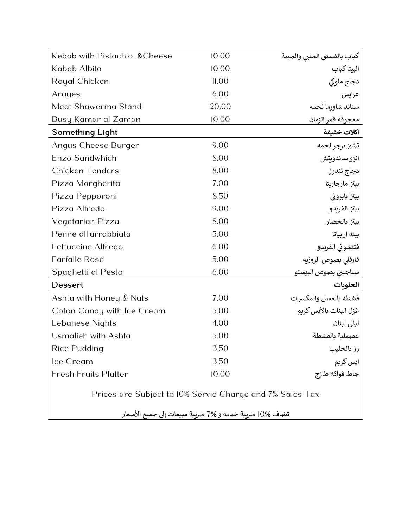| Kebab with Pistachio & Cheese | 10.00 | كباب بالفستق الحلبى والجبنة |
|-------------------------------|-------|-----------------------------|
| Kabab Albita                  | 10.00 | البيتاكباب                  |
| <b>Royal Chicken</b>          | 11.00 | دجاج ملوكي                  |
| Arayes                        | 6.00  | عرايس                       |
| Meat Shawerma Stand           | 20.00 | ستاند شاورما لحمه           |
| Busy Kamar al Zaman           | 10.00 | معجوقه قمر الزمان           |
| <b>Something Light</b>        |       | اكلات خفيفة                 |
| Angus Cheese Burger           | 9.00  | تشيز برجر لحمه              |
| Enzo Sandwhich                | 8.00  | انزو ساندويتش               |
| <b>Chicken Tenders</b>        | 8.00  | دجاج تندرز                  |
| Pizza Margherita              | 7.00  | بيتزا مارجاربتا             |
| Pizza Pepporoni               | 8.50  | بيتزا بابروني               |
| Pizza Alfredo                 | 9.00  | بيتزا الفريدو               |
| Vegetarian Pizza              | 8.00  | بيتزا بالخضار               |
| Penne all'arrabbiata          | 5.00  | بينه ارابياتا               |
| <b>Fettuccine Alfredo</b>     | 6.00  | فتتشوني الفريدو             |
| Farfalle Rosé                 | 5.00  | فارفلى بصوص الروزيه         |
| Spaghetti al Pesto            | 6.00  | سباجيتي بصوص البيستو        |
| <b>Dessert</b>                |       | الحلوبات                    |
| Ashta with Honey & Nuts       | 7.00  | قشطه بالعسل والمكسرات       |
| Coton Candy with Ice Cream    | 5.00  | غزل البنات بالأيس كربم      |
| Lebanese Nights               | 4.00  | ليالى لبنان                 |
| Usmalieh with Ashta           | 5.00  | عصملية بالقشطة              |
| Rice Pudding                  | 3.50  | رز بالحليب                  |
| Ice Cream                     | 3.50  | ایس کریم                    |
| <b>Fresh Fruits Platter</b>   | 10.00 | جاط فواكه طازج              |
|                               |       |                             |

Prices are Subject to 10% Servie Charge and 7% Sales Tax

تضاف %10 ضريبة خدمه و 7% ضريبة مبيعات إلى جميع الأسعار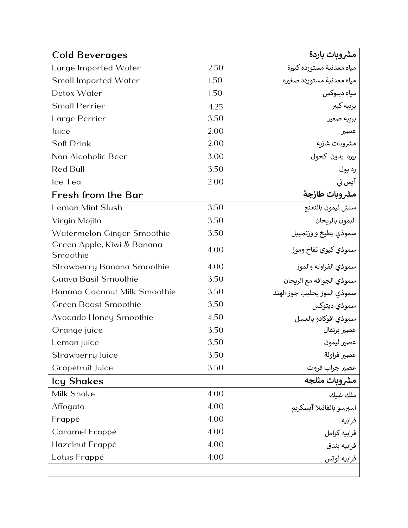| <b>Cold Beverages</b>                  |      | مشروبات باردة                 |
|----------------------------------------|------|-------------------------------|
| Large Imported Water                   | 2.50 | مياه معدنية مستورده كبيرة     |
| <b>Small Imported Water</b>            | 1.50 | مياه معدنية مستورده صغيره     |
| Detox Water                            | 1.50 | مياه ديتوكس                   |
| <b>Small Perrier</b>                   | 4.25 | بربيه كبير                    |
| Large Perrier                          | 3.50 | بربيه صغير                    |
| Juice                                  | 2.00 | عصير                          |
| Soft Drink                             | 2.00 | مشروبات غازيه                 |
| Non Alcoholic Beer                     | 3.00 | بيره بدون كحول                |
| <b>Red Bull</b>                        | 3.50 | رد بول                        |
| Ice Tea                                | 2.00 | آيس تي                        |
| Fresh from the Bar                     |      | مشروبات طازجة                 |
| <b>Lemon Mint Slush</b>                | 3.50 | سلش ليمون بالنعنع             |
| Virgin Mojito                          | 3.50 | ليمون بالريحان                |
| Watermelon Ginger Smoothie             | 3.50 | سموذي بطيخ و وزنجبيل          |
| Green Apple, Kiwi & Banana<br>Smoothie | 4.00 | سموذي كيوي تفاح وموز          |
| Strawberry Banana Smoothie             | 4.00 | سموذي الفراوله والموز         |
| <b>Guava Basil Smoothie</b>            | 3.50 | سموذي الجوافه مع الريحان      |
| <b>Banana Coconut Milk Smoothie</b>    | 3.50 | سموذي الموز بحليب جوز الهند   |
| <b>Green Boost Smoothie</b>            | 3.50 | سموذي ديتوكس                  |
| Avocado Honey Smoothie                 | 4.50 | سموذي افوكادو بالعسل          |
| Orange juice                           | 3.50 | عصير برتقال                   |
| Lemon juice                            | 3.50 | عصير ليمون                    |
| Strawberry Juice                       | 3.50 |                               |
| <b>Crapefruit Juice</b>                | 3.50 | عصير فراولة<br>عصير جراب فروت |
| <b>Icy Shakes</b>                      |      | مشروبات مثلجه                 |
| Milk Shake                             | 4.00 |                               |
| Affogato                               | 4.00 | اسبرسو بالفانيلا آيسكريم      |
| Frappé                                 | 4.00 | فرابيه                        |
| Caramel Frappé                         | 4.00 | فرابيه كرامل                  |
| Hazelnut Frappé                        | 4.00 | فرابيه بندق                   |
| Lotus Frappé                           | 4.00 | فرابيه لوتس                   |
|                                        |      |                               |